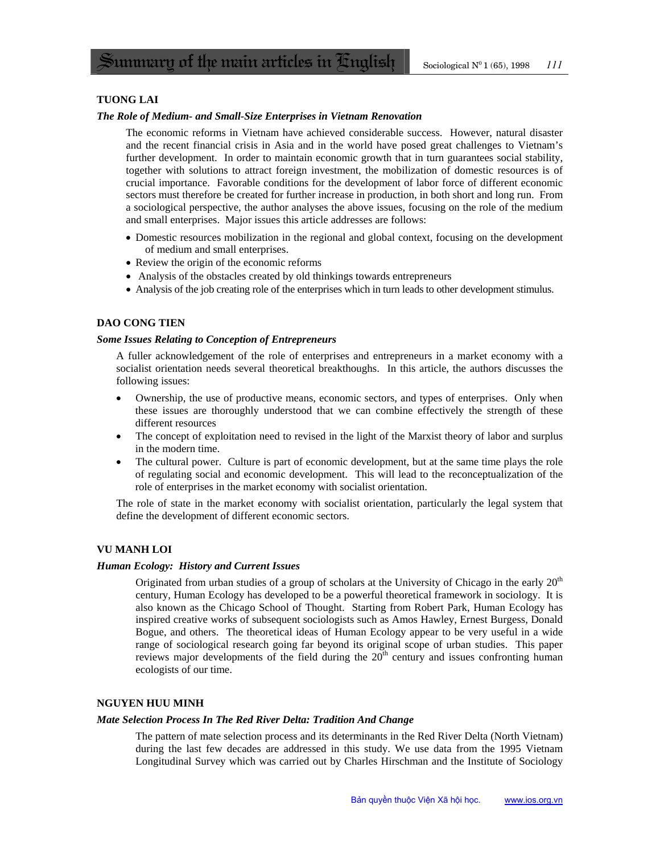# **TUONG LAI**

### *The Role of Medium- and Small-Size Enterprises in Vietnam Renovation*

The economic reforms in Vietnam have achieved considerable success. However, natural disaster and the recent financial crisis in Asia and in the world have posed great challenges to Vietnam's further development. In order to maintain economic growth that in turn guarantees social stability, together with solutions to attract foreign investment, the mobilization of domestic resources is of crucial importance. Favorable conditions for the development of labor force of different economic sectors must therefore be created for further increase in production, in both short and long run. From a sociological perspective, the author analyses the above issues, focusing on the role of the medium and small enterprises. Major issues this article addresses are follows:

- Domestic resources mobilization in the regional and global context, focusing on the development of medium and small enterprises.
- Review the origin of the economic reforms
- Analysis of the obstacles created by old thinkings towards entrepreneurs
- Analysis of the job creating role of the enterprises which in turn leads to other development stimulus.

# **DAO CONG TIEN**

### *Some Issues Relating to Conception of Entrepreneurs*

A fuller acknowledgement of the role of enterprises and entrepreneurs in a market economy with a socialist orientation needs several theoretical breakthoughs. In this article, the authors discusses the following issues:

- Ownership, the use of productive means, economic sectors, and types of enterprises. Only when these issues are thoroughly understood that we can combine effectively the strength of these different resources
- The concept of exploitation need to revised in the light of the Marxist theory of labor and surplus in the modern time.
- The cultural power. Culture is part of economic development, but at the same time plays the role of regulating social and economic development. This will lead to the reconceptualization of the role of enterprises in the market economy with socialist orientation.

The role of state in the market economy with socialist orientation, particularly the legal system that define the development of different economic sectors.

### **VU MANH LOI**

#### *Human Ecology: History and Current Issues*

Originated from urban studies of a group of scholars at the University of Chicago in the early  $20<sup>th</sup>$ century, Human Ecology has developed to be a powerful theoretical framework in sociology. It is also known as the Chicago School of Thought. Starting from Robert Park, Human Ecology has inspired creative works of subsequent sociologists such as Amos Hawley, Ernest Burgess, Donald Bogue, and others. The theoretical ideas of Human Ecology appear to be very useful in a wide range of sociological research going far beyond its original scope of urban studies. This paper reviews major developments of the field during the  $20<sup>th</sup>$  century and issues confronting human ecologists of our time.

#### **NGUYEN HUU MINH**

#### *Mate Selection Process In The Red River Delta: Tradition And Change*

The pattern of mate selection process and its determinants in the Red River Delta (North Vietnam) during the last few decades are addressed in this study. We use data from the 1995 Vietnam Longitudinal Survey which was carried out by Charles Hirschman and the Institute of Sociology